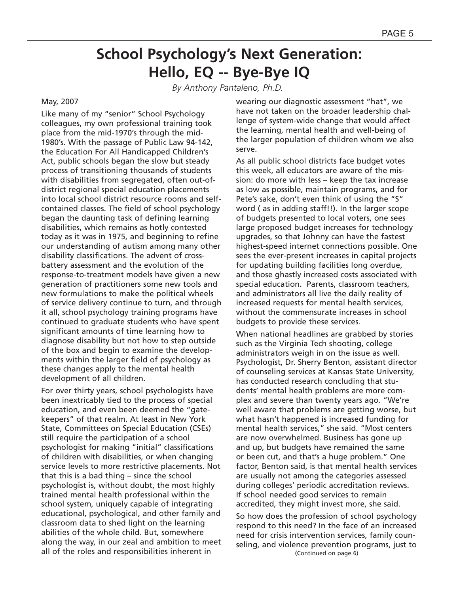*By Anthony Pantaleno, Ph.D.*

#### May, 2007

Like many of my "senior" School Psychology colleagues, my own professional training took place from the mid-1970's through the mid-1980's. With the passage of Public Law 94-142, the Education For All Handicapped Children's Act, public schools began the slow but steady process of transitioning thousands of students with disabilities from segregated, often out-ofdistrict regional special education placements into local school district resource rooms and selfcontained classes. The field of school psychology began the daunting task of defining learning disabilities, which remains as hotly contested today as it was in 1975, and beginning to refine our understanding of autism among many other disability classifications. The advent of crossbattery assessment and the evolution of the response-to-treatment models have given a new generation of practitioners some new tools and new formulations to make the political wheels of service delivery continue to turn, and through it all, school psychology training programs have continued to graduate students who have spent significant amounts of time learning how to diagnose disability but not how to step outside of the box and begin to examine the developments within the larger field of psychology as these changes apply to the mental health development of all children.

For over thirty years, school psychologists have been inextricably tied to the process of special education, and even been deemed the "gatekeepers" of that realm. At least in New York State, Committees on Special Education (CSEs) still require the participation of a school psychologist for making "initial" classifications of children with disabilities, or when changing service levels to more restrictive placements. Not that this is a bad thing – since the school psychologist is, without doubt, the most highly trained mental health professional within the school system, uniquely capable of integrating educational, psychological, and other family and classroom data to shed light on the learning abilities of the whole child. But, somewhere along the way, in our zeal and ambition to meet all of the roles and responsibilities inherent in

wearing our diagnostic assessment "hat", we have not taken on the broader leadership challenge of system-wide change that would affect the learning, mental health and well-being of the larger population of children whom we also serve.

As all public school districts face budget votes this week, all educators are aware of the mission: do more with less – keep the tax increase as low as possible, maintain programs, and for Pete's sake, don't even think of using the "S" word ( as in adding staff!!). In the larger scope of budgets presented to local voters, one sees large proposed budget increases for technology upgrades, so that Johnny can have the fastest highest-speed internet connections possible. One sees the ever-present increases in capital projects for updating building facilities long overdue, and those ghastly increased costs associated with special education. Parents, classroom teachers, and administrators all live the daily reality of increased requests for mental health services, without the commensurate increases in school budgets to provide these services.

When national headlines are grabbed by stories such as the Virginia Tech shooting, college administrators weigh in on the issue as well. Psychologist, Dr. Sherry Benton, assistant director of counseling services at Kansas State University, has conducted research concluding that students' mental health problems are more complex and severe than twenty years ago. "We're well aware that problems are getting worse, but what hasn't happened is increased funding for mental health services," she said. "Most centers are now overwhelmed. Business has gone up and up, but budgets have remained the same or been cut, and that's a huge problem." One factor, Benton said, is that mental health services are usually not among the categories assessed during colleges' periodic accreditation reviews. If school needed good services to remain accredited, they might invest more, she said.

So how does the profession of school psychology respond to this need? In the face of an increased need for crisis intervention services, family counseling, and violence prevention programs, just to (Continued on page 6)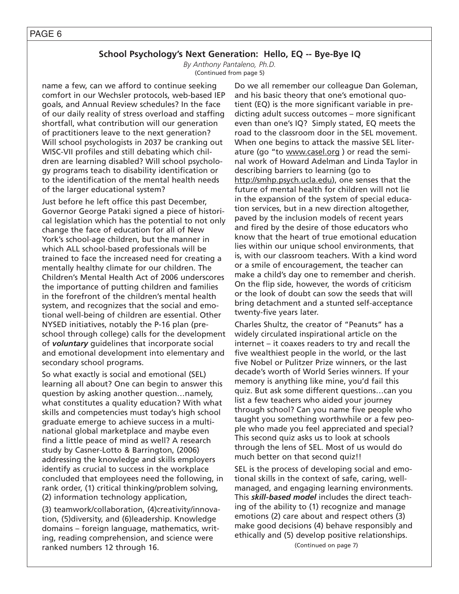*By Anthony Pantaleno, Ph.D.* (Continued from page 5)

name a few, can we afford to continue seeking comfort in our Wechsler protocols, web-based IEP goals, and Annual Review schedules? In the face of our daily reality of stress overload and staffing shortfall, what contribution will our generation of practitioners leave to the next generation? Will school psychologists in 2037 be cranking out WISC-VII profiles and still debating which children are learning disabled? Will school psychology programs teach to disability identification or to the identification of the mental health needs of the larger educational system?

Just before he left office this past December, Governor George Pataki signed a piece of historical legislation which has the potential to not only change the face of education for all of New York's school-age children, but the manner in which ALL school-based professionals will be trained to face the increased need for creating a mentally healthy climate for our children. The Children's Mental Health Act of 2006 underscores the importance of putting children and families in the forefront of the children's mental health system, and recognizes that the social and emotional well-being of children are essential. Other NYSED initiatives, notably the P-16 plan (preschool through college) calls for the development of *voluntary* guidelines that incorporate social and emotional development into elementary and secondary school programs.

So what exactly is social and emotional (SEL) learning all about? One can begin to answer this question by asking another question…namely, what constitutes a quality education? With what skills and competencies must today's high school graduate emerge to achieve success in a multinational global marketplace and maybe even find a little peace of mind as well? A research study by Casner-Lotto & Barrington, (2006) addressing the knowledge and skills employers identify as crucial to success in the workplace concluded that employees need the following, in rank order, (1) critical thinking/problem solving, (2) information technology application,

(3) teamwork/collaboration, (4)creativity/innovation, (5)diversity, and (6)leadership. Knowledge domains – foreign language, mathematics, writing, reading comprehension, and science were ranked numbers 12 through 16.

Do we all remember our colleague Dan Goleman, and his basic theory that one's emotional quotient (EQ) is the more significant variable in predicting adult success outcomes – more significant even than one's IQ? Simply stated, EQ meets the road to the classroom door in the SEL movement. When one begins to attack the massive SEL literature (go "to www.casel.org ) or read the seminal work of Howard Adelman and Linda Taylor in describing barriers to learning (go to http://smhp.psych.ucla.edu), one senses that the future of mental health for children will not lie in the expansion of the system of special education services, but in a new direction altogether, paved by the inclusion models of recent years and fired by the desire of those educators who know that the heart of true emotional education lies within our unique school environments, that is, with our classroom teachers. With a kind word or a smile of encouragement, the teacher can make a child's day one to remember and cherish. On the flip side, however, the words of criticism or the look of doubt can sow the seeds that will bring detachment and a stunted self-acceptance twenty-five years later.

Charles Shultz, the creator of "Peanuts" has a widely circulated inspirational article on the internet – it coaxes readers to try and recall the five wealthiest people in the world, or the last five Nobel or Pulitzer Prize winners, or the last decade's worth of World Series winners. If your memory is anything like mine, you'd fail this quiz. But ask some different questions…can you list a few teachers who aided your journey through school? Can you name five people who taught you something worthwhile or a few people who made you feel appreciated and special? This second quiz asks us to look at schools through the lens of SEL. Most of us would do much better on that second quiz!!

SEL is the process of developing social and emotional skills in the context of safe, caring, wellmanaged, and engaging learning environments. This *skill-based model* includes the direct teaching of the ability to (1) recognize and manage emotions (2) care about and respect others (3) make good decisions (4) behave responsibly and ethically and (5) develop positive relationships.

(Continued on page 7)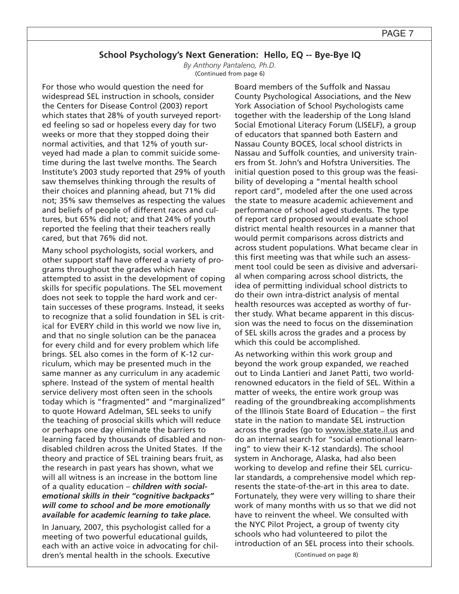*By Anthony Pantaleno, Ph.D.* (Continued from page 6)

For those who would question the need for widespread SEL instruction in schools, consider the Centers for Disease Control (2003) report which states that 28% of youth surveyed reported feeling so sad or hopeless every day for two weeks or more that they stopped doing their normal activities, and that 12% of youth surveyed had made a plan to commit suicide sometime during the last twelve months. The Search Institute's 2003 study reported that 29% of youth saw themselves thinking through the results of their choices and planning ahead, but 71% did not; 35% saw themselves as respecting the values and beliefs of people of different races and cultures, but 65% did not; and that 24% of youth reported the feeling that their teachers really cared, but that 76% did not.

Many school psychologists, social workers, and other support staff have offered a variety of programs throughout the grades which have attempted to assist in the development of coping skills for specific populations. The SEL movement does not seek to topple the hard work and certain successes of these programs. Instead, it seeks to recognize that a solid foundation in SEL is critical for EVERY child in this world we now live in, and that no single solution can be the panacea for every child and for every problem which life brings. SEL also comes in the form of K-12 curriculum, which may be presented much in the same manner as any curriculum in any academic sphere. Instead of the system of mental health service delivery most often seen in the schools today which is "fragmented" and "marginalized" to quote Howard Adelman, SEL seeks to unify the teaching of prosocial skills which will reduce or perhaps one day eliminate the barriers to learning faced by thousands of disabled and nondisabled children across the United States. If the theory and practice of SEL training bears fruit, as the research in past years has shown, what we will all witness is an increase in the bottom line of a quality education – *children with socialemotional skills in their "cognitive backpacks" will come to school and be more emotionally available for academic learning to take place.*

In January, 2007, this psychologist called for a meeting of two powerful educational guilds, each with an active voice in advocating for children's mental health in the schools. Executive

Board members of the Suffolk and Nassau County Psychological Associations, and the New York Association of School Psychologists came together with the leadership of the Long Island Social Emotional Literacy Forum (LISELF), a group of educators that spanned both Eastern and Nassau County BOCES, local school districts in Nassau and Suffolk counties, and university trainers from St. John's and Hofstra Universities. The initial question posed to this group was the feasibility of developing a "mental health school report card", modeled after the one used across the state to measure academic achievement and performance of school aged students. The type of report card proposed would evaluate school district mental health resources in a manner that would permit comparisons across districts and across student populations. What became clear in this first meeting was that while such an assessment tool could be seen as divisive and adversarial when comparing across school districts, the idea of permitting individual school districts to do their own intra-district analysis of mental health resources was accepted as worthy of further study. What became apparent in this discussion was the need to focus on the dissemination of SEL skills across the grades and a process by which this could be accomplished.

As networking within this work group and beyond the work group expanded, we reached out to Linda Lantieri and Janet Patti, two worldrenowned educators in the field of SEL. Within a matter of weeks, the entire work group was reading of the groundbreaking accomplishments of the Illinois State Board of Education – the first state in the nation to mandate SEL instruction across the grades (go to www.isbe.state.il.us and do an internal search for "social emotional learning" to view their K-12 standards). The school system in Anchorage, Alaska, had also been working to develop and refine their SEL curricular standards, a comprehensive model which represents the state-of-the-art in this area to date. Fortunately, they were very willing to share their work of many months with us so that we did not have to reinvent the wheel. We consulted with the NYC Pilot Project, a group of twenty city schools who had volunteered to pilot the introduction of an SEL process into their schools.

(Continued on page 8)